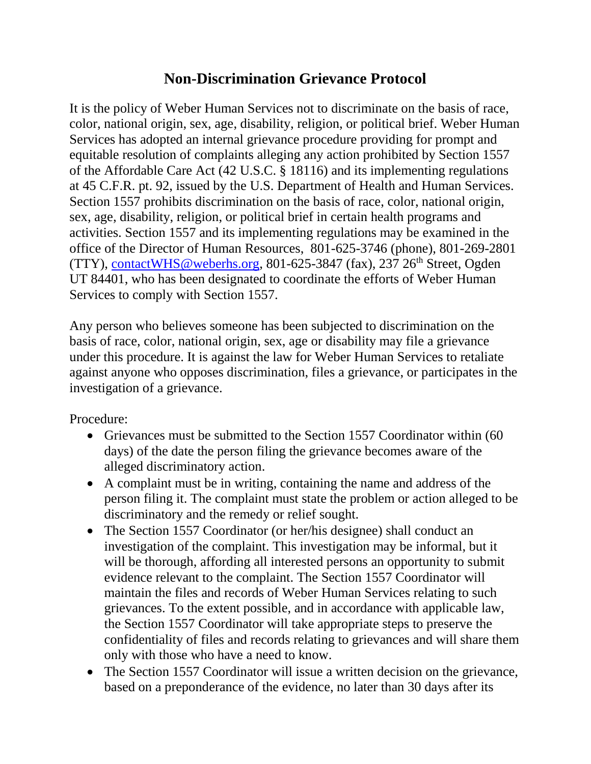## **Non-Discrimination Grievance Protocol**

It is the policy of Weber Human Services not to discriminate on the basis of race, color, national origin, sex, age, disability, religion, or political brief. Weber Human Services has adopted an internal grievance procedure providing for prompt and equitable resolution of complaints alleging any action prohibited by Section 1557 of the Affordable Care Act (42 U.S.C. § 18116) and its implementing regulations at 45 C.F.R. pt. 92, issued by the U.S. Department of Health and Human Services. Section 1557 prohibits discrimination on the basis of race, color, national origin, sex, age, disability, religion, or political brief in certain health programs and activities. Section 1557 and its implementing regulations may be examined in the office of the Director of Human Resources, 801-625-3746 (phone), 801-269-2801 (TTY), [contactWHS@weberhs.org,](mailto:contactWHS@weberhs.org) 801-625-3847 (fax), 237 26<sup>th</sup> Street, Ogden UT 84401, who has been designated to coordinate the efforts of Weber Human Services to comply with Section 1557.

Any person who believes someone has been subjected to discrimination on the basis of race, color, national origin, sex, age or disability may file a grievance under this procedure. It is against the law for Weber Human Services to retaliate against anyone who opposes discrimination, files a grievance, or participates in the investigation of a grievance.

Procedure:

- Grievances must be submitted to the Section 1557 Coordinator within (60 days) of the date the person filing the grievance becomes aware of the alleged discriminatory action.
- A complaint must be in writing, containing the name and address of the person filing it. The complaint must state the problem or action alleged to be discriminatory and the remedy or relief sought.
- The Section 1557 Coordinator (or her/his designee) shall conduct an investigation of the complaint. This investigation may be informal, but it will be thorough, affording all interested persons an opportunity to submit evidence relevant to the complaint. The Section 1557 Coordinator will maintain the files and records of Weber Human Services relating to such grievances. To the extent possible, and in accordance with applicable law, the Section 1557 Coordinator will take appropriate steps to preserve the confidentiality of files and records relating to grievances and will share them only with those who have a need to know.
- The Section 1557 Coordinator will issue a written decision on the grievance, based on a preponderance of the evidence, no later than 30 days after its